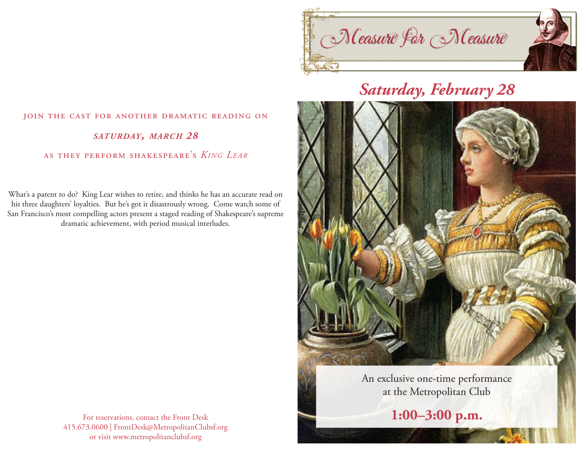

## *Saturday, February 28*



**1:00–3:00 p.m.**

## join the cast for another dramatic reading on *saturday, march 28* as they perform shakespeare's *King Lear*

What's a parent to do? King Lear wishes to retire, and thinks he has an accurate read on his three daughters' loyalties. But he's got it disastrously wrong. Come watch some of San Francisco's most compelling actors present a staged reading of Shakespeare's supreme dramatic achievement, with period musical interludes.

> For reservations, contact the Front Desk 415.673.0600 | FrontDesk@MetropolitanClubsf.org or visit www.metropolitanclubsf.org